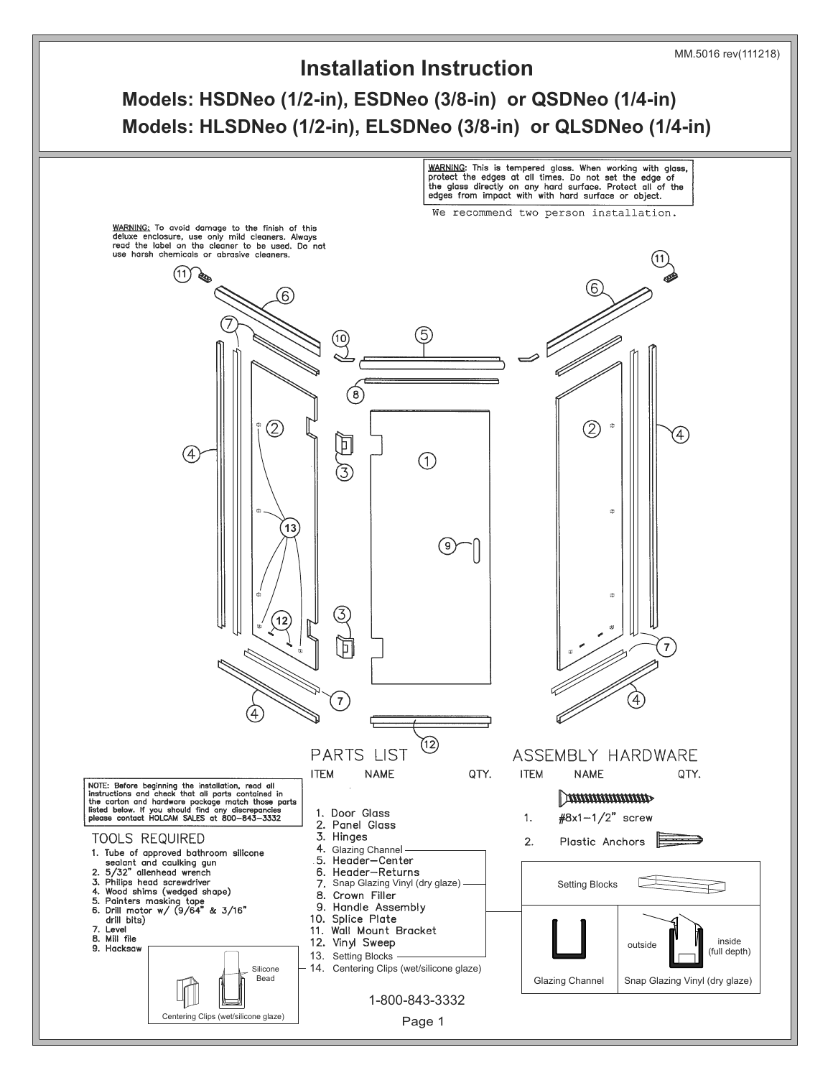

**Models: HSDNeo (1/2-in), ESDNeo (3/8-in) or QSDNeo (1/4-in) Models: HLSDNeo (1/2-in), ELSDNeo (3/8-in) or QLSDNeo (1/4-in)**

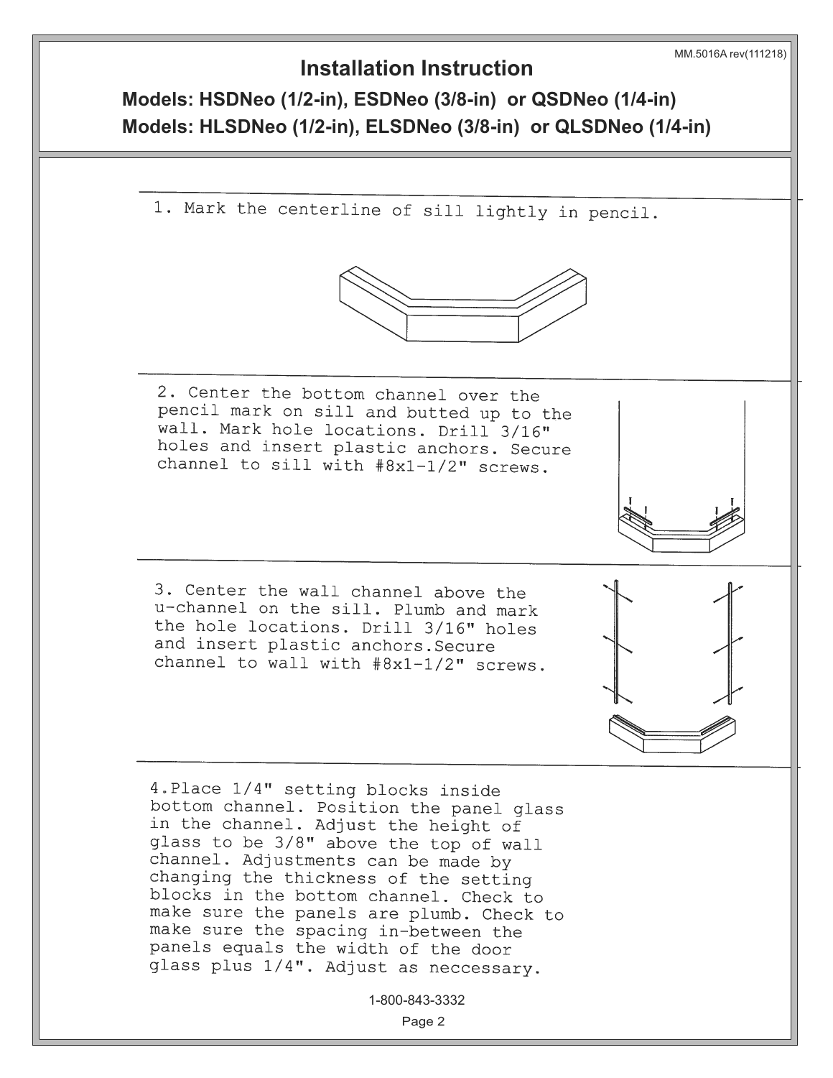**Models: HSDNeo (1/2-in), ESDNeo (3/8-in) or QSDNeo (1/4-in) Models: HLSDNeo (1/2-in), ELSDNeo (3/8-in) or QLSDNeo (1/4-in)**

1. Mark the centerline of sill lightly in pencil.



2. Center the bottom channel over the pencil mark on sill and butted up to the wall. Mark hole locations. Drill 3/16" holes and insert plastic anchors. Secure channel to sill with #8x1-1/2" screws.

3. Center the wall channel above the u-channel on the sill. Plumb and mark the hole locations. Drill 3/16" holes and insert plastic anchors. Secure channel to wall with #8x1-1/2" screws.

4. Place 1/4" setting blocks inside bottom channel. Position the panel glass in the channel. Adjust the height of glass to be 3/8" above the top of wall channel. Adjustments can be made by changing the thickness of the setting blocks in the bottom channel. Check to make sure the panels are plumb. Check to make sure the spacing in-between the panels equals the width of the door glass plus 1/4". Adjust as neccessary.

1-800-843-3332

Page 2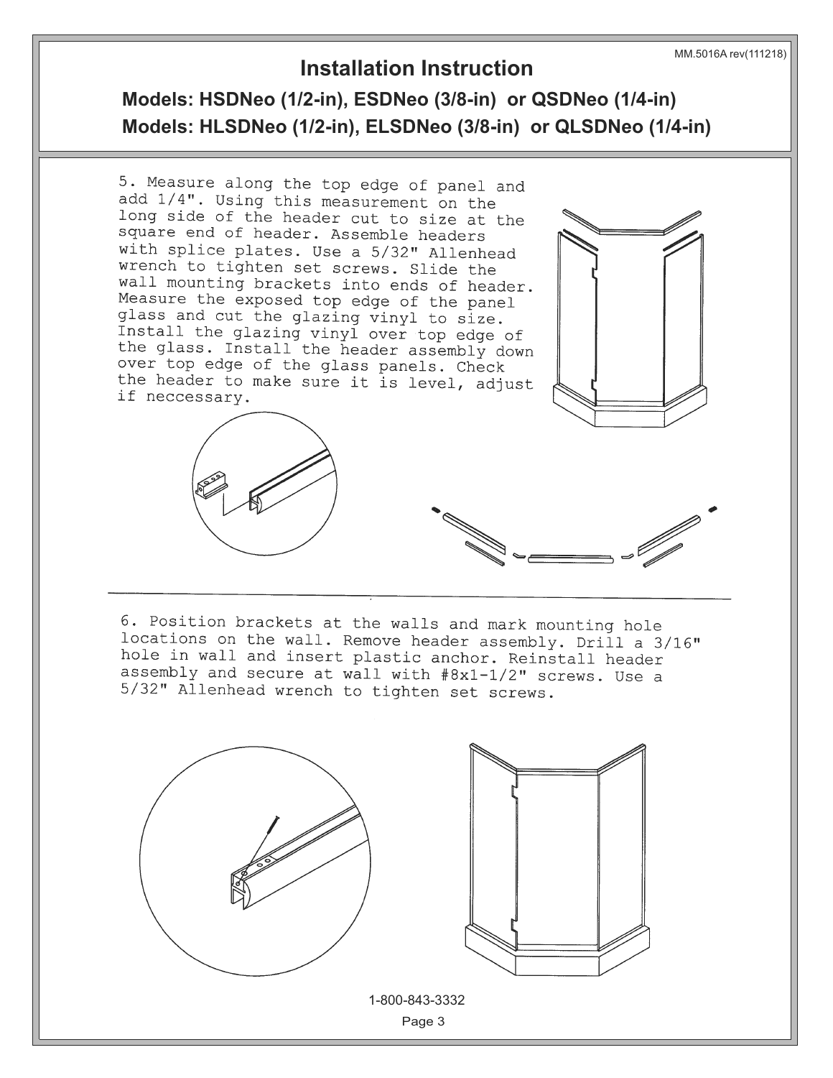**Models: HSDNeo (1/2-in), ESDNeo (3/8-in) or QSDNeo (1/4-in) Models: HLSDNeo (1/2-in), ELSDNeo (3/8-in) or QLSDNeo (1/4-in)**



6. Position brackets at the walls and mark mounting hole locations on the wall. Remove header assembly. Drill a 3/16" hole in wall and insert plastic anchor. Reinstall header assembly and secure at wall with  $#8x1-1/2$ " screws. Use a 5/32" Allenhead wrench to tighten set screws.

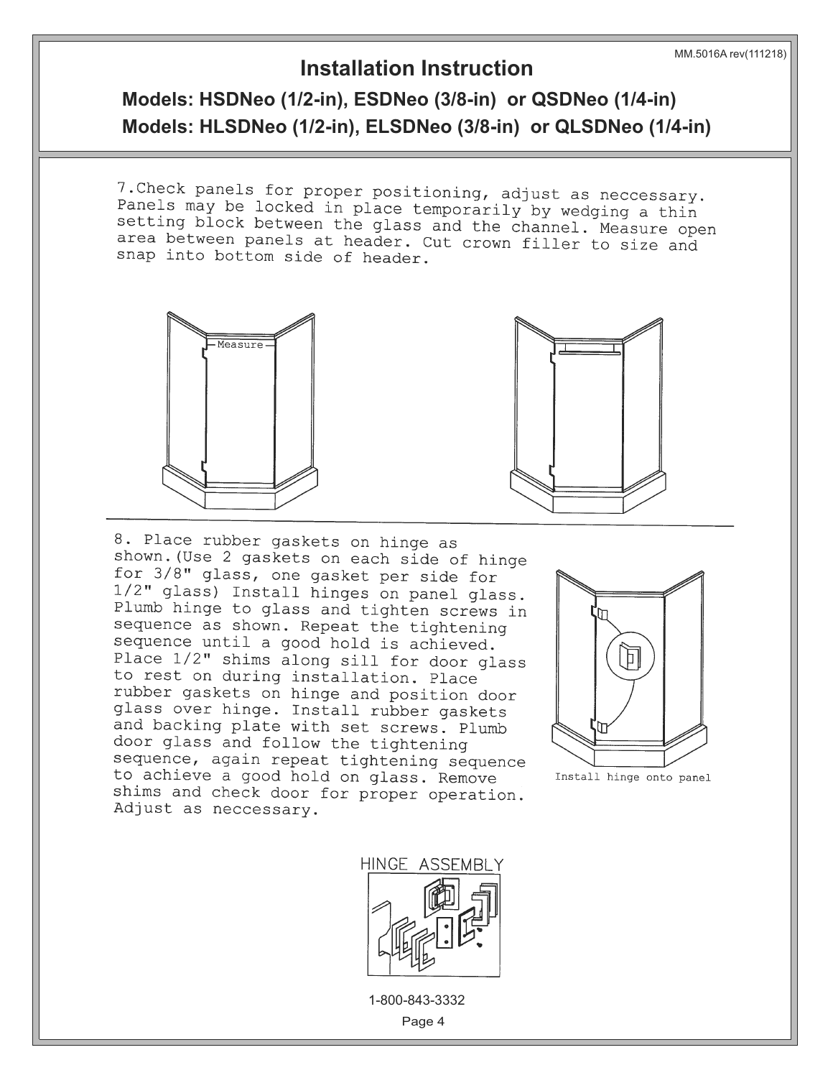#### MM.5016A rev(111218)

### **Installation Instruction**

**Models: HSDNeo (1/2-in), ESDNeo (3/8-in) or QSDNeo (1/4-in) Models: HLSDNeo (1/2-in), ELSDNeo (3/8-in) or QLSDNeo (1/4-in)**

7. Check panels for proper positioning, adjust as neccessary. Panels may be locked in place temporarily by wedging a thin setting block between the glass and the channel. Measure open area between panels at header. Cut crown filler to size and snap into bottom side of header.





8. Place rubber gaskets on hinge as shown. (Use 2 gaskets on each side of hinge for 3/8" glass, one gasket per side for 1/2" glass) Install hinges on panel glass. Plumb hinge to glass and tighten screws in sequence as shown. Repeat the tightening sequence until a good hold is achieved. Place 1/2" shims along sill for door glass to rest on during installation. Place rubber gaskets on hinge and position door glass over hinge. Install rubber gaskets and backing plate with set screws. Plumb door glass and follow the tightening sequence, again repeat tightening sequence to achieve a good hold on glass. Remove shims and check door for proper operation. Adjust as neccessary.



Install hinge onto panel



1-800-843-3332

Page 4